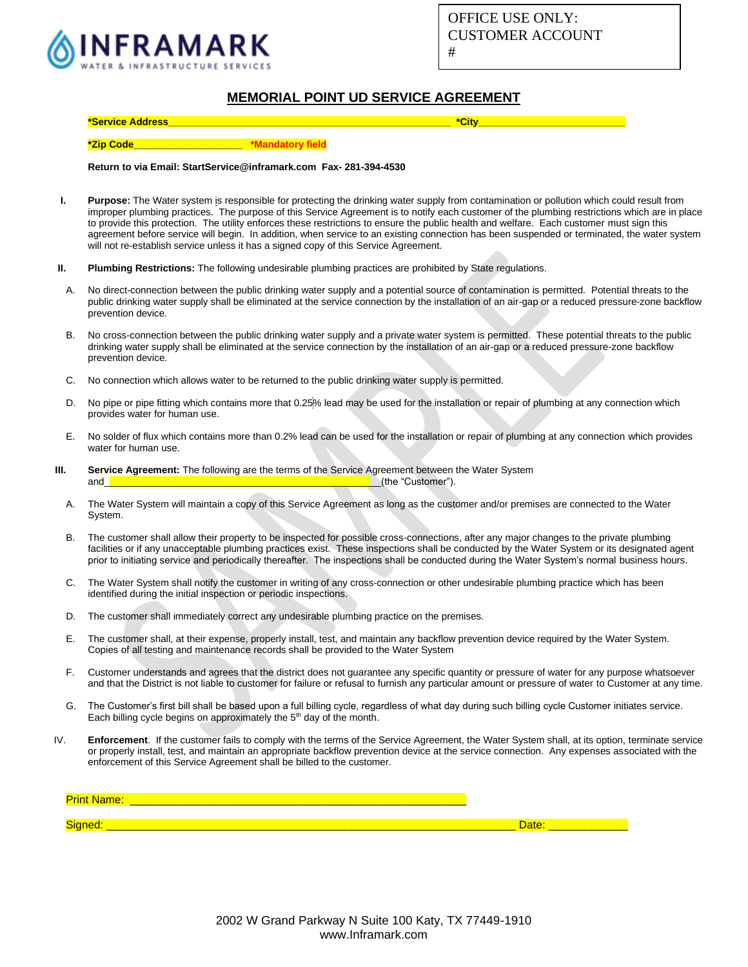

## **MEMORIAL POINT UD SERVICE AGREEMENT**

### **\*Zip Code\_\_\_\_\_\_\_\_\_\_\_\_\_\_\_\_\_\_\_\_ \*Mandatory field**

#### **Return to via Email: StartService@inframark.com Fax- 281-394-4530**

- **I. Purpose:** The Water system is responsible for protecting the drinking water supply from contamination or pollution which could result from improper plumbing practices. The purpose of this Service Agreement is to notify each customer of the plumbing restrictions which are in place to provide this protection. The utility enforces these restrictions to ensure the public health and welfare. Each customer must sign this agreement before service will begin. In addition, when service to an existing connection has been suspended or terminated, the water system will not re-establish service unless it has a signed copy of this Service Agreement.
- **II. Plumbing Restrictions:** The following undesirable plumbing practices are prohibited by State regulations.
- A. No direct-connection between the public drinking water supply and a potential source of contamination is permitted. Potential threats to the public drinking water supply shall be eliminated at the service connection by the installation of an air-gap or a reduced pressure-zone backflow prevention device.
- B. No cross-connection between the public drinking water supply and a private water system is permitted. These potential threats to the public drinking water supply shall be eliminated at the service connection by the installation of an air-gap or a reduced pressure-zone backflow prevention device.
- C. No connection which allows water to be returned to the public drinking water supply is permitted.
- D. No pipe or pipe fitting which contains more that 0.25% lead may be used for the installation or repair of plumbing at any connection which provides water for human use.
- E. No solder of flux which contains more than 0.2% lead can be used for the installation or repair of plumbing at any connection which provides water for human use.
- **III. Service Agreement:** The following are the terms of the Service Agreement between the Water System and\_\_\_\_\_\_\_\_\_\_\_\_\_\_\_\_\_\_\_\_\_\_\_\_\_\_\_\_\_\_\_\_\_\_\_\_\_\_\_\_\_\_\_\_\_\_\_\_\_\_\_(the "Customer").
	- A. The Water System will maintain a copy of this Service Agreement as long as the customer and/or premises are connected to the Water System.
	- B. The customer shall allow their property to be inspected for possible cross-connections, after any major changes to the private plumbing facilities or if any unacceptable plumbing practices exist. These inspections shall be conducted by the Water System or its designated agent prior to initiating service and periodically thereafter. The inspections shall be conducted during the Water System's normal business hours.
	- C. The Water System shall notify the customer in writing of any cross-connection or other undesirable plumbing practice which has been identified during the initial inspection or periodic inspections.
	- D. The customer shall immediately correct any undesirable plumbing practice on the premises.
	- E. The customer shall, at their expense, properly install, test, and maintain any backflow prevention device required by the Water System. Copies of all testing and maintenance records shall be provided to the Water System
	- F. Customer understands and agrees that the district does not guarantee any specific quantity or pressure of water for any purpose whatsoever and that the District is not liable to customer for failure or refusal to furnish any particular amount or pressure of water to Customer at any time.
	- G. The Customer's first bill shall be based upon a full billing cycle, regardless of what day during such billing cycle Customer initiates service. Each billing cycle begins on approximately the 5<sup>th</sup> day of the month.
- IV. **Enforcement**. If the customer fails to comply with the terms of the Service Agreement, the Water System shall, at its option, terminate service or properly install, test, and maintain an appropriate backflow prevention device at the service connection. Any expenses associated with the enforcement of this Service Agreement shall be billed to the customer.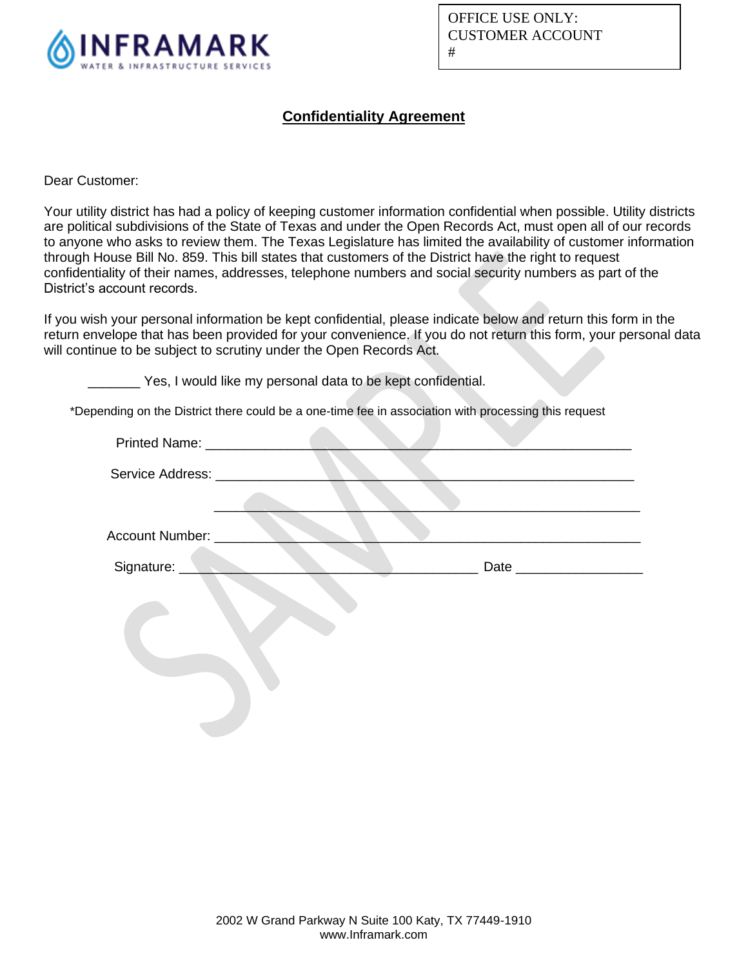

OFFICE USE ONLY: CUSTOMER ACCOUNT #

## **Confidentiality Agreement**

Dear Customer:

Your utility district has had a policy of keeping customer information confidential when possible. Utility districts are political subdivisions of the State of Texas and under the Open Records Act, must open all of our records to anyone who asks to review them. The Texas Legislature has limited the availability of customer information through House Bill No. 859. This bill states that customers of the District have the right to request confidentiality of their names, addresses, telephone numbers and social security numbers as part of the District's account records.

If you wish your personal information be kept confidential, please indicate below and return this form in the return envelope that has been provided for your convenience. If you do not return this form, your personal data will continue to be subject to scrutiny under the Open Records Act.

\_\_\_\_\_\_\_ Yes, I would like my personal data to be kept confidential.

\*Depending on the District there could be a one-time fee in association with processing this request

 $\sim$ 

| Printed Name: __________________ |  |
|----------------------------------|--|
| Service Address: __________      |  |
|                                  |  |
| Account Number: ____             |  |
|                                  |  |
| Signature: ______                |  |
|                                  |  |